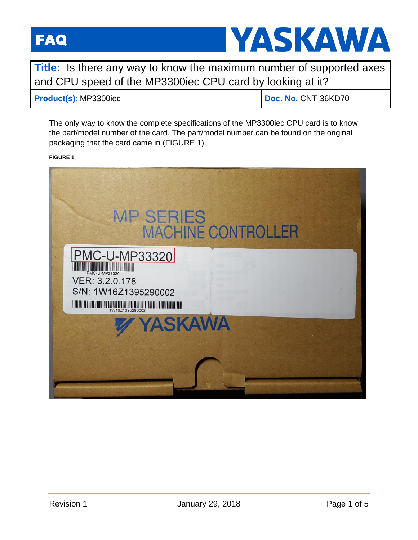

**Title:** Is there any way to know the maximum number of supported axes and CPU speed of the MP3300iec CPU card by looking at it?

## **Product(s):** MP3300iec **Doc. No. 2017-36KD70**

The only way to know the complete specifications of the MP3300iec CPU card is to know the part/model number of the card. The part/model number can be found on the original packaging that the card came in (FIGURE 1).

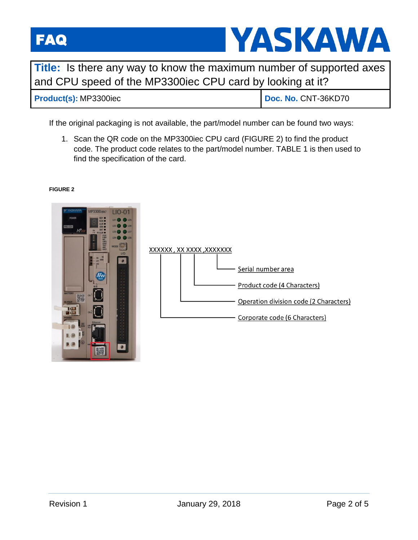

**Title:** Is there any way to know the maximum number of supported axes and CPU speed of the MP3300iec CPU card by looking at it?

**Product(s):** MP3300iec **Doc. No. 2017-36KD70** 

If the original packaging is not available, the part/model number can be found two ways:

1. Scan the QR code on the MP3300iec CPU card (FIGURE 2) to find the product code. The product code relates to the part/model number. TABLE 1 is then used to find the specification of the card.



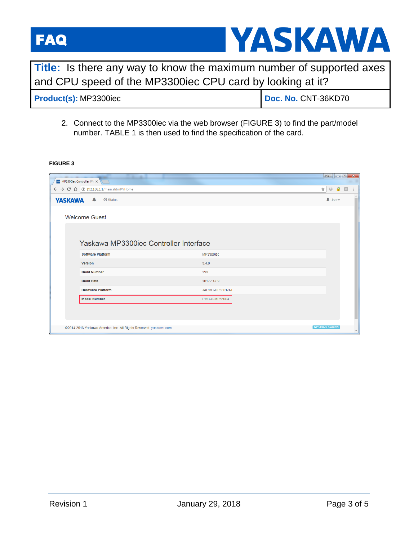

**Title:** Is there any way to know the maximum number of supported axes and CPU speed of the MP3300iec CPU card by looking at it?

| Product(s): MP3300iec | Doc. No. CNT-36KD70 |
|-----------------------|---------------------|
|                       |                     |

2. Connect to the MP3300iec via the web browser (FIGURE 3) to find the part/model number. TABLE 1 is then used to find the specification of the card.

| $\leftarrow$ $\rightarrow$ C $\Omega$<br>10 192.168.1.1/main.shtml#/Home<br>$•$ Status<br><b>YASKAWA</b><br><b>Welcome Guest</b><br>Yaskawa MP3300iec Controller Interface<br><b>Software Platform</b><br><b>MP3300iec</b> | ☆<br>$\mathbb{S}^*_{\mathbb{S}^*}$<br>$\alpha$<br>$\blacksquare$ User $\blacktriangleright$ | G |
|----------------------------------------------------------------------------------------------------------------------------------------------------------------------------------------------------------------------------|---------------------------------------------------------------------------------------------|---|
|                                                                                                                                                                                                                            |                                                                                             |   |
|                                                                                                                                                                                                                            |                                                                                             |   |
|                                                                                                                                                                                                                            |                                                                                             |   |
|                                                                                                                                                                                                                            |                                                                                             |   |
|                                                                                                                                                                                                                            |                                                                                             |   |
|                                                                                                                                                                                                                            |                                                                                             |   |
| 3.4.0<br>Version                                                                                                                                                                                                           |                                                                                             |   |
| 299<br><b>Build Number</b>                                                                                                                                                                                                 |                                                                                             |   |
| <b>Build Date</b><br>2017-11-09                                                                                                                                                                                            |                                                                                             |   |
| <b>Hardware Platform</b><br>JAPMC-CP3301-1-E                                                                                                                                                                               |                                                                                             |   |
| <b>Model Number</b><br>PMC-U-MP33004                                                                                                                                                                                       |                                                                                             |   |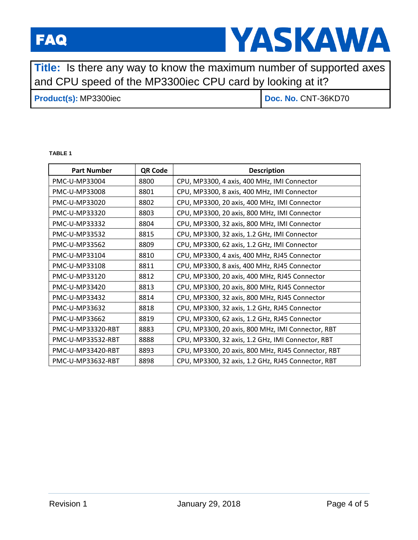

**Title:** Is there any way to know the maximum number of supported axes and CPU speed of the MP3300iec CPU card by looking at it?

# **Product(s):** MP3300iec **Doc. No. CNT-36KD70**

### **TABLE 1**

| <b>Part Number</b> | QR Code | <b>Description</b>                                 |
|--------------------|---------|----------------------------------------------------|
| PMC-U-MP33004      | 8800    | CPU, MP3300, 4 axis, 400 MHz, IMI Connector        |
| PMC-U-MP33008      | 8801    | CPU, MP3300, 8 axis, 400 MHz, IMI Connector        |
| PMC-U-MP33020      | 8802    | CPU, MP3300, 20 axis, 400 MHz, IMI Connector       |
| PMC-U-MP33320      | 8803    | CPU, MP3300, 20 axis, 800 MHz, IMI Connector       |
| PMC-U-MP33332      | 8804    | CPU, MP3300, 32 axis, 800 MHz, IMI Connector       |
| PMC-U-MP33532      | 8815    | CPU, MP3300, 32 axis, 1.2 GHz, IMI Connector       |
| PMC-U-MP33562      | 8809    | CPU, MP3300, 62 axis, 1.2 GHz, IMI Connector       |
| PMC-U-MP33104      | 8810    | CPU, MP3300, 4 axis, 400 MHz, RJ45 Connector       |
| PMC-U-MP33108      | 8811    | CPU, MP3300, 8 axis, 400 MHz, RJ45 Connector       |
| PMC-U-MP33120      | 8812    | CPU, MP3300, 20 axis, 400 MHz, RJ45 Connector      |
| PMC-U-MP33420      | 8813    | CPU, MP3300, 20 axis, 800 MHz, RJ45 Connector      |
| PMC-U-MP33432      | 8814    | CPU, MP3300, 32 axis, 800 MHz, RJ45 Connector      |
| PMC-U-MP33632      | 8818    | CPU, MP3300, 32 axis, 1.2 GHz, RJ45 Connector      |
| PMC-U-MP33662      | 8819    | CPU, MP3300, 62 axis, 1.2 GHz, RJ45 Connector      |
| PMC-U-MP33320-RBT  | 8883    | CPU, MP3300, 20 axis, 800 MHz, IMI Connector, RBT  |
| PMC-U-MP33532-RBT  | 8888    | CPU, MP3300, 32 axis, 1.2 GHz, IMI Connector, RBT  |
| PMC-U-MP33420-RBT  | 8893    | CPU, MP3300, 20 axis, 800 MHz, RJ45 Connector, RBT |
| PMC-U-MP33632-RBT  | 8898    | CPU, MP3300, 32 axis, 1.2 GHz, RJ45 Connector, RBT |